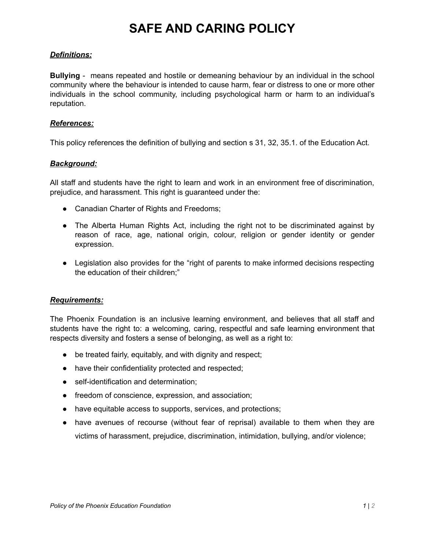# **SAFE AND CARING POLICY**

### *Definitions:*

**Bullying** - means repeated and hostile or demeaning behaviour by an individual in the school community where the behaviour is intended to cause harm, fear or distress to one or more other individuals in the school community, including psychological harm or harm to an individual's reputation.

#### *References:*

This policy references the definition of bullying and section s 31, 32, 35.1. of the Education Act.

### *Background:*

All staff and students have the right to learn and work in an environment free of discrimination, prejudice, and harassment. This right is guaranteed under the:

- Canadian Charter of Rights and Freedoms;
- The Alberta Human Rights Act, including the right not to be discriminated against by reason of race, age, national origin, colour, religion or gender identity or gender expression.
- Legislation also provides for the "right of parents to make informed decisions respecting the education of their children;"

## *Requirements:*

The Phoenix Foundation is an inclusive learning environment, and believes that all staff and students have the right to: a welcoming, caring, respectful and safe learning environment that respects diversity and fosters a sense of belonging, as well as a right to:

- be treated fairly, equitably, and with dignity and respect;
- have their confidentiality protected and respected;
- self-identification and determination;
- freedom of conscience, expression, and association;
- have equitable access to supports, services, and protections;
- have avenues of recourse (without fear of reprisal) available to them when they are victims of harassment, prejudice, discrimination, intimidation, bullying, and/or violence;